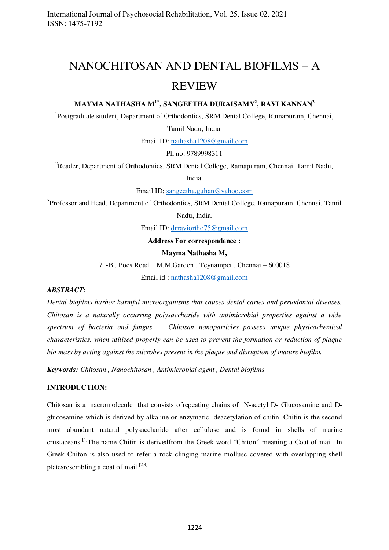# NANOCHITOSAN AND DENTAL BIOFILMS – A REVIEW

# **MAYMA NATHASHA M1\*, SANGEETHA DURAISAMY<sup>2</sup> , RAVI KANNAN<sup>3</sup>**

<sup>1</sup>Postgraduate student, Department of Orthodontics, SRM Dental College, Ramapuram, Chennai,

Tamil Nadu, India.

Email ID: [nathasha1208@gmail.com](mailto:nathasha1208@gmail.com)

Ph no: 9789998311

<sup>2</sup>Reader, Department of Orthodontics, SRM Dental College, Ramapuram, Chennai, Tamil Nadu,

India.

Email ID: [sangeetha.guhan@yahoo.com](mailto:sangeetha.guhan@yahoo.com)

<sup>3</sup>Professor and Head, Department of Orthodontics, SRM Dental College, Ramapuram, Chennai, Tamil Nadu, India.

Email ID: [drraviortho75@gmail.com](mailto:drraviortho75@gmail.com) 

#### **Address For correspondence :**

#### **Mayma Nathasha M,**

71-B , Poes Road , M.M.Garden , Teynampet , Chennai – 600018

Email id : [nathasha1208@gmail.com](mailto:nathasha1208@gmail.com)

# *ABSTRACT:*

*Dental biofilms harbor harmful microorganisms that causes dental caries and periodontal diseases. Chitosan is a naturally occurring polysaccharide with antimicrobial properties against a wide spectrum of bacteria and fungus. Chitosan nanoparticles possess unique physicochemical characteristics, when utilized properly can be used to prevent the formation or reduction of plaque bio mass by acting against the microbes present in the plaque and disruption of mature biofilm.* 

*Keywords: Chitosan , Nanochitosan , Antimicrobial agent , Dental biofilms* 

## **INTRODUCTION:**

Chitosan is a macromolecule that consists ofrepeating chains of N-acetyl D- Glucosamine and Dglucosamine which is derived by alkaline or enzymatic deacetylation of chitin. Chitin is the second most abundant natural polysaccharide after cellulose and is found in shells of marine crustaceans.<sup>[1]</sup>The name Chitin is derivedfrom the Greek word "Chiton" meaning a Coat of mail. In Greek Chiton is also used to refer a rock clinging marine mollusc covered with overlapping shell platesresembling a coat of mail.<sup>[2,3]</sup>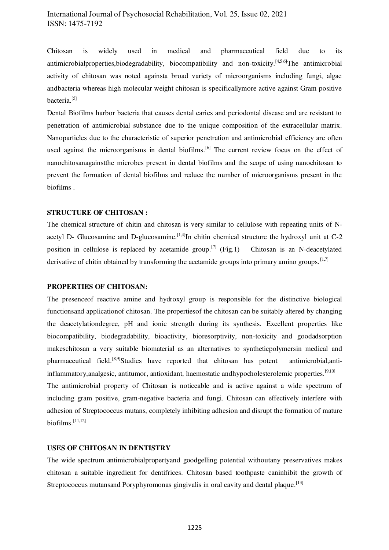# International Journal of Psychosocial Rehabilitation, Vol. 25, Issue 02, 2021 ISSN: 1475-7192

Chitosan is widely used in medical and pharmaceutical field due to its antimicrobialproperties, biodegradability, biocompatibility and non-toxicity.<sup>[4,5,6]</sup>The antimicrobial activity of chitosan was noted againsta broad variety of microorganisms including fungi, algae andbacteria whereas high molecular weight chitosan is specificallymore active against Gram positive bacteria.<sup>[5]</sup>

Dental Biofilms harbor bacteria that causes dental caries and periodontal disease and are resistant to penetration of antimicrobial substance due to the unique composition of the extracellular matrix. Nanoparticles due to the characteristic of superior penetration and antimicrobial efficiency are often used against the microorganisms in dental biofilms.<sup>[6]</sup> The current review focus on the effect of nanochitosanagainstthe microbes present in dental biofilms and the scope of using nanochitosan to prevent the formation of dental biofilms and reduce the number of microorganisms present in the biofilms .

## **STRUCTURE OF CHITOSAN :**

The chemical structure of chitin and chitosan is very similar to cellulose with repeating units of Nacetyl D- Glucosamine and D-glucosamine.<sup>[1,4]</sup>In chitin chemical structure the hydroxyl unit at  $C-2$ position in cellulose is replaced by acetamide group.<sup>[7]</sup> (Fig.1) Chitosan is an N-deacetylated derivative of chitin obtained by transforming the acetamide groups into primary amino groups.  $[1,7]$ 

#### **PROPERTIES OF CHITOSAN:**

The presenceof reactive amine and hydroxyl group is responsible for the distinctive biological functionsand applicationof chitosan. The propertiesof the chitosan can be suitably altered by changing the deacetylationdegree, pH and ionic strength during its synthesis. Excellent properties like biocompatibility, biodegradability, bioactivity, bioresorptivity, non-toxicity and goodadsorption makeschitosan a very suitable biomaterial as an alternatives to syntheticpolymersin medical and pharmaceutical field.<sup>[8,9]</sup>Studies have reported that chitosan has potent antimicrobial,antiinflammatory, analgesic, antitumor, antioxidant, haemostatic andhypocholesterolemic properties.<sup>[9,10]</sup> The antimicrobial property of Chitosan is noticeable and is active against a wide spectrum of including gram positive, gram-negative bacteria and fungi. Chitosan can effectively interfere with adhesion of Streptococcus mutans, completely inhibiting adhesion and disrupt the formation of mature biofilms.[11,12]

#### **USES OF CHITOSAN IN DENTISTRY**

The wide spectrum antimicrobialpropertyand goodgelling potential withoutany preservatives makes chitosan a suitable ingredient for dentifrices. Chitosan based toothpaste caninhibit the growth of Streptococcus mutansand Poryphyromonas gingivalis in oral cavity and dental plaque.<sup>[13]</sup>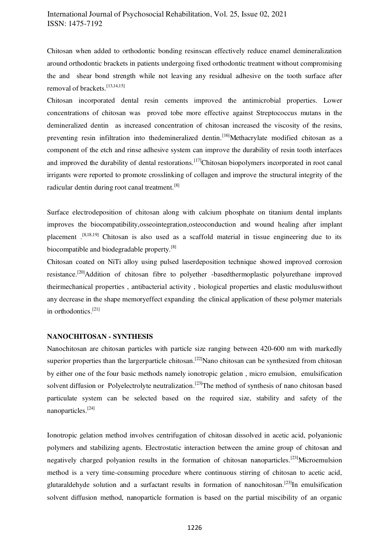# International Journal of Psychosocial Rehabilitation, Vol. 25, Issue 02, 2021 ISSN: 1475-7192

Chitosan when added to orthodontic bonding resinscan effectively reduce enamel demineralization around orthodontic brackets in patients undergoing fixed orthodontic treatment without compromising the and shear bond strength while not leaving any residual adhesive on the tooth surface after removal of brackets.<sup>[13,14,15]</sup>

Chitosan incorporated dental resin cements improved the antimicrobial properties. Lower concentrations of chitosan was proved tobe more effective against Streptococcus mutans in the demineralized dentin as increased concentration of chitosan increased the viscosity of the resins, preventing resin infiltration into thedemineralized dentin.<sup>[16]</sup>Methacrylate modified chitosan as a component of the etch and rinse adhesive system can improve the durability of resin tooth interfaces and improved the durability of dental restorations.<sup>[17]</sup>Chitosan biopolymers incorporated in root canal irrigants were reported to promote crosslinking of collagen and improve the structural integrity of the radicular dentin during root canal treatment.[8]

Surface electrodeposition of chitosan along with calcium phosphate on titanium dental implants improves the biocompatibility,osseointegration,osteoconduction and wound healing after implant placement .[8,18,19] Chitosan is also used as a scaffold material in tissue engineering due to its biocompatible and biodegradable property.[8]

Chitosan coated on NiTi alloy using pulsed laserdeposition technique showed improved corrosion resistance.<sup>[20]</sup>Addition of chitosan fibre to polyether -basedthermoplastic polyurethane improved theirmechanical properties , antibacterial activity , biological properties and elastic moduluswithout any decrease in the shape memoryeffect expanding the clinical application of these polymer materials in orthodontics.[21]

#### **NANOCHITOSAN - SYNTHESIS**

Nanochitosan are chitosan particles with particle size ranging between 420-600 nm with markedly superior properties than the largerparticle chitosan.<sup>[22]</sup>Nano chitosan can be synthesized from chitosan by either one of the four basic methods namely ionotropic gelation , micro emulsion, emulsification solvent diffusion or Polyelectrolyte neutralization.<sup>[23]</sup>The method of synthesis of nano chitosan based particulate system can be selected based on the required size, stability and safety of the nanoparticles.[24]

Ionotropic gelation method involves centrifugation of chitosan dissolved in acetic acid, polyanionic polymers and stabilizing agents. Electrostatic interaction between the amine group of chitosan and negatively charged polyanion results in the formation of chitosan nanoparticles.<sup>[23]</sup>Microemulsion method is a very time-consuming procedure where continuous stirring of chitosan to acetic acid, glutaraldehyde solution and a surfactant results in formation of nanochitosan.<sup>[23]</sup>In emulsification solvent diffusion method, nanoparticle formation is based on the partial miscibility of an organic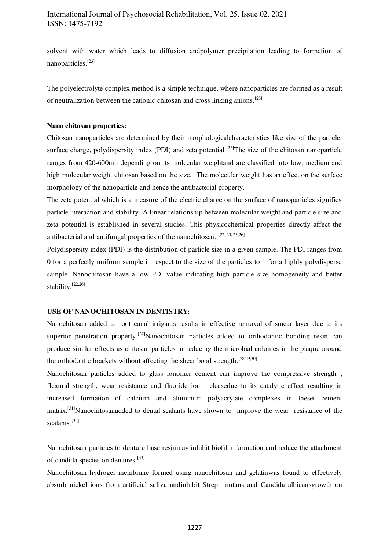solvent with water which leads to diffusion andpolymer precipitation leading to formation of nanoparticles.[23]

The polyelectrolyte complex method is a simple technique, where nanoparticles are formed as a result of neutralization between the cationic chitosan and cross linking anions.[23]

## **Nano chitosan properties:**

Chitosan nanoparticles are determined by their morphologicalcharacteristics like size of the particle, surface charge, polydispersity index (PDI) and zeta potential.<sup>[25]</sup>The size of the chitosan nanoparticle ranges from 420-600nm depending on its molecular weightand are classified into low, medium and high molecular weight chitosan based on the size. The molecular weight has an effect on the surface morphology of the nanoparticle and hence the antibacterial property.

The zeta potential which is a measure of the electric charge on the surface of nanoparticles signifies particle interaction and stability. A linear relationship between molecular weight and particle size and zeta potential is established in several studies. This physicochemical properties directly affect the antibacterial and antifungal properties of the nanochitosan. [22, 23, 25,26]

Polydispersity index (PDI) is the distribution of particle size in a given sample. The PDI ranges from 0 for a perfectly uniform sample in respect to the size of the particles to 1 for a highly polydisperse sample. Nanochitosan have a low PDI value indicating high particle size homogeneity and better stability.[22,26]

#### **USE OF NANOCHITOSAN IN DENTISTRY:**

Nanochitosan added to root canal irrigants results in effective removal of smear layer due to its superior penetration property.<sup>[27]</sup>Nanochitosan particles added to orthodontic bonding resin can produce similar effects as chitosan particles in reducing the microbial colonies in the plaque around the orthodontic brackets without affecting the shear bond strength.[28,29,30]

Nanochitosan particles added to glass ionomer cement can improve the compressive strength , flexural strength, wear resistance and fluoride ion releasedue to its catalytic effect resulting in increased formation of calcium and aluminum polyacrylate complexes in theset cement matrix.<sup>[31]</sup>Nanochitosanadded to dental sealants have shown to improve the wear resistance of the sealants.<sup>[32]</sup>

Nanochitosan particles to denture base resinmay inhibit biofilm formation and reduce the attachment of candida species on dentures.[33]

Nanochitosan hydrogel membrane formed using nanochitosan and gelatinwas found to effectively absorb nickel ions from artificial saliva andinhibit Strep. mutans and Candida albicansgrowth on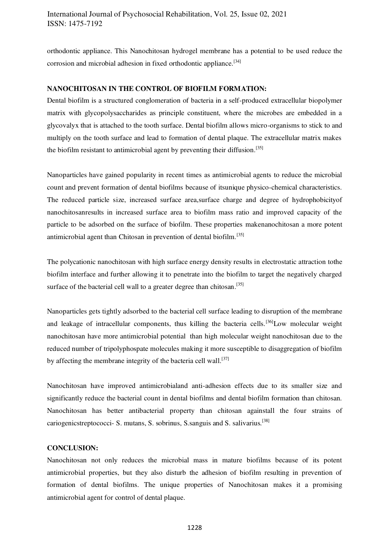orthodontic appliance. This Nanochitosan hydrogel membrane has a potential to be used reduce the corrosion and microbial adhesion in fixed orthodontic appliance.<sup>[34]</sup>

## **NANOCHITOSAN IN THE CONTROL OF BIOFILM FORMATION:**

Dental biofilm is a structured conglomeration of bacteria in a self-produced extracellular biopolymer matrix with glycopolysaccharides as principle constituent, where the microbes are embedded in a glycovalyx that is attached to the tooth surface. Dental biofilm allows micro-organisms to stick to and multiply on the tooth surface and lead to formation of dental plaque. The extracellular matrix makes the biofilm resistant to antimicrobial agent by preventing their diffusion.<sup>[35]</sup>

Nanoparticles have gained popularity in recent times as antimicrobial agents to reduce the microbial count and prevent formation of dental biofilms because of itsunique physico-chemical characteristics. The reduced particle size, increased surface area,surface charge and degree of hydrophobicityof nanochitosanresults in increased surface area to biofilm mass ratio and improved capacity of the particle to be adsorbed on the surface of biofilm. These properties makenanochitosan a more potent antimicrobial agent than Chitosan in prevention of dental biofilm.[35]

The polycationic nanochitosan with high surface energy density results in electrostatic attraction tothe biofilm interface and further allowing it to penetrate into the biofilm to target the negatively charged surface of the bacterial cell wall to a greater degree than chitosan.<sup>[35]</sup>

Nanoparticles gets tightly adsorbed to the bacterial cell surface leading to disruption of the membrane and leakage of intracellular components, thus killing the bacteria cells.<sup>[36]</sup>Low molecular weight nanochitosan have more antimicrobial potential than high molecular weight nanochitosan due to the reduced number of tripolyphospate molecules making it more susceptible to disaggregation of biofilm by affecting the membrane integrity of the bacteria cell wall.<sup>[37]</sup>

Nanochitosan have improved antimicrobialand anti-adhesion effects due to its smaller size and significantly reduce the bacterial count in dental biofilms and dental biofilm formation than chitosan. Nanochitosan has better antibacterial property than chitosan againstall the four strains of cariogenicstreptococci- S. mutans, S. sobrinus, S.sanguis and S. salivarius.[38]

# **CONCLUSION:**

Nanochitosan not only reduces the microbial mass in mature biofilms because of its potent antimicrobial properties, but they also disturb the adhesion of biofilm resulting in prevention of formation of dental biofilms. The unique properties of Nanochitosan makes it a promising antimicrobial agent for control of dental plaque.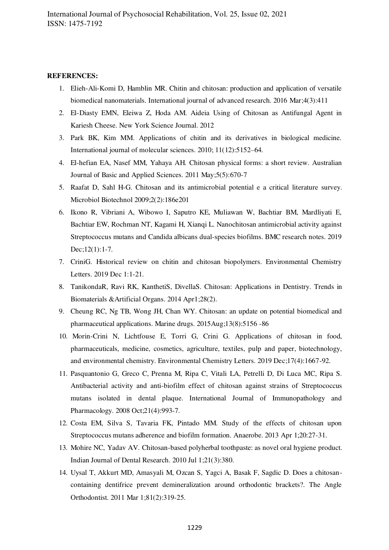#### **REFERENCES:**

- 1. Elieh-Ali-Komi D, Hamblin MR. Chitin and chitosan: production and application of versatile biomedical nanomaterials. International journal of advanced research. 2016 Mar;4(3):411
- 2. El-Diasty EMN, Eleiwa Z, Hoda AM. Aideia Using of Chitosan as Antifungal Agent in Kariesh Cheese. New York Science Journal. 2012
- 3. Park BK, Kim MM. Applications of chitin and its derivatives in biological medicine. International journal of molecular sciences. 2010; 11(12):5152–64.
- 4. El-hefian EA, Nasef MM, Yahaya AH. Chitosan physical forms: a short review. Australian Journal of Basic and Applied Sciences. 2011 May;5(5):670-7
- 5. Raafat D, Sahl H-G. Chitosan and its antimicrobial potential e a critical literature survey. Microbiol Biotechnol 2009;2(2):186e201
- 6. Ikono R, Vibriani A, Wibowo I, Saputro KE, Muliawan W, Bachtiar BM, Mardliyati E, Bachtiar EW, Rochman NT, Kagami H, Xianqi L. Nanochitosan antimicrobial activity against Streptococcus mutans and Candida albicans dual-species biofilms. BMC research notes. 2019 Dec;12(1):1-7.
- 7. CriniG. Historical review on chitin and chitosan biopolymers. Environmental Chemistry Letters. 2019 Dec 1:1-21.
- 8. TanikondaR, Ravi RK, KanthetiS, DivellaS. Chitosan: Applications in Dentistry. Trends in Biomaterials &Artificial Organs. 2014 Apr1;28(2).
- 9. Cheung RC, Ng TB, Wong JH, Chan WY. Chitosan: an update on potential biomedical and pharmaceutical applications. Marine drugs. 2015Aug;13(8):5156 -86
- 10. Morin-Crini N, Lichtfouse E, Torri G, Crini G. Applications of chitosan in food, pharmaceuticals, medicine, cosmetics, agriculture, textiles, pulp and paper, biotechnology, and environmental chemistry. Environmental Chemistry Letters. 2019 Dec;17(4):1667-92.
- 11. Pasquantonio G, Greco C, Prenna M, Ripa C, Vitali LA, Petrelli D, Di Luca MC, Ripa S. Antibacterial activity and anti-biofilm effect of chitosan against strains of Streptococcus mutans isolated in dental plaque. International Journal of Immunopathology and Pharmacology. 2008 Oct;21(4):993-7.
- 12. Costa EM, Silva S, Tavaria FK, Pintado MM. Study of the effects of chitosan upon Streptococcus mutans adherence and biofilm formation. Anaerobe. 2013 Apr 1;20:27-31.
- 13. Mohire NC, Yadav AV. Chitosan-based polyherbal toothpaste: as novel oral hygiene product. Indian Journal of Dental Research. 2010 Jul 1;21(3):380.
- 14. Uysal T, Akkurt MD, Amasyali M, Ozcan S, Yagci A, Basak F, Sagdic D. Does a chitosancontaining dentifrice prevent demineralization around orthodontic brackets?. The Angle Orthodontist. 2011 Mar 1;81(2):319-25.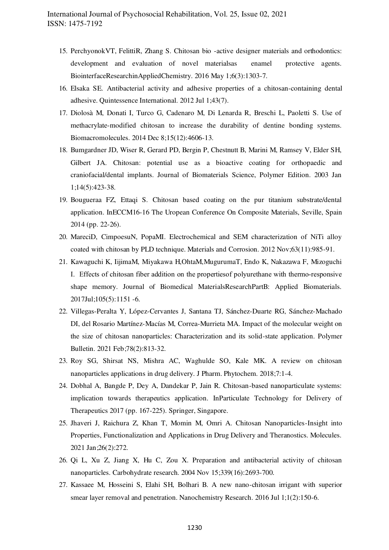- 15. PerchyonokVT, FelittiR, Zhang S. Chitosan bio -active designer materials and orthodontics: development and evaluation of novel materialsas enamel protective agents. BiointerfaceResearchinAppliedChemistry. 2016 May 1;6(3):1303-7.
- 16. Elsaka SE. Antibacterial activity and adhesive properties of a chitosan-containing dental adhesive. Quintessence International. 2012 Jul 1;43(7).
- 17. Diolosà M, Donati I, Turco G, Cadenaro M, Di Lenarda R, Breschi L, Paoletti S. Use of methacrylate-modified chitosan to increase the durability of dentine bonding systems. Biomacromolecules. 2014 Dec 8;15(12):4606-13.
- 18. Bumgardner JD, Wiser R, Gerard PD, Bergin P, Chestnutt B, Marini M, Ramsey V, Elder SH, Gilbert JA. Chitosan: potential use as a bioactive coating for orthopaedic and craniofacial/dental implants. Journal of Biomaterials Science, Polymer Edition. 2003 Jan 1;14(5):423-38.
- 19. Bougueraa FZ, Ettaqi S. Chitosan based coating on the pur titanium substrate/dental application. InECCM16-16 The Uropean Conference On Composite Materials, Seville, Spain 2014 (pp. 22-26).
- 20. MareciD, CimpoesuN, PopaMI. Electrochemical and SEM characterization of NiTi alloy coated with chitosan by PLD technique. Materials and Corrosion. 2012 Nov;63(11):985-91.
- 21. Kawaguchi K, IijimaM, Miyakawa H,OhtaM,MugurumaT, Endo K, Nakazawa F, Mizoguchi I. Effects of chitosan fiber addition on the propertiesof polyurethane with thermo‐responsive shape memory. Journal of Biomedical MaterialsResearchPartB: Applied Biomaterials. 2017Jul;105(5):1151 -6.
- 22. Villegas-Peralta Y, López-Cervantes J, Santana TJ, Sánchez-Duarte RG, Sánchez-Machado DI, del Rosario Martínez-Macías M, Correa-Murrieta MA. Impact of the molecular weight on the size of chitosan nanoparticles: Characterization and its solid-state application. Polymer Bulletin. 2021 Feb;78(2):813-32.
- 23. Roy SG, Shirsat NS, Mishra AC, Waghulde SO, Kale MK. A review on chitosan nanoparticles applications in drug delivery. J Pharm. Phytochem. 2018;7:1-4.
- 24. Dobhal A, Bangde P, Dey A, Dandekar P, Jain R. Chitosan-based nanoparticulate systems: implication towards therapeutics application. InParticulate Technology for Delivery of Therapeutics 2017 (pp. 167-225). Springer, Singapore.
- 25. Jhaveri J, Raichura Z, Khan T, Momin M, Omri A. Chitosan Nanoparticles-Insight into Properties, Functionalization and Applications in Drug Delivery and Theranostics. Molecules. 2021 Jan;26(2):272.
- 26. Qi L, Xu Z, Jiang X, Hu C, Zou X. Preparation and antibacterial activity of chitosan nanoparticles. Carbohydrate research. 2004 Nov 15;339(16):2693-700.
- 27. Kassaee M, Hosseini S, Elahi SH, Bolhari B. A new nano-chitosan irrigant with superior smear layer removal and penetration. Nanochemistry Research. 2016 Jul 1;1(2):150-6.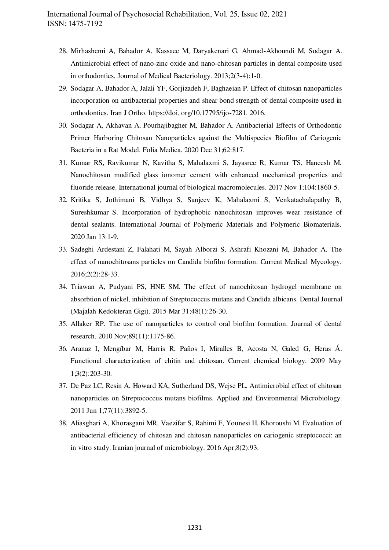- 28. Mirhashemi A, Bahador A, Kassaee M, Daryakenari G, Ahmad-Akhoundi M, Sodagar A. Antimicrobial effect of nano-zinc oxide and nano-chitosan particles in dental composite used in orthodontics. Journal of Medical Bacteriology. 2013;2(3-4):1-0.
- 29. Sodagar A, Bahador A, Jalali YF, Gorjizadeh F, Baghaeian P. Effect of chitosan nanoparticles incorporation on antibacterial properties and shear bond strength of dental composite used in orthodontics. Iran J Ortho. https://doi. org/10.17795/ijo-7281. 2016.
- 30. Sodagar A, Akhavan A, Pourhajibagher M, Bahador A. Antibacterial Effects of Orthodontic Primer Harboring Chitosan Nanoparticles against the Multispecies Biofilm of Cariogenic Bacteria in a Rat Model. Folia Medica. 2020 Dec 31;62:817.
- 31. Kumar RS, Ravikumar N, Kavitha S, Mahalaxmi S, Jayasree R, Kumar TS, Haneesh M. Nanochitosan modified glass ionomer cement with enhanced mechanical properties and fluoride release. International journal of biological macromolecules. 2017 Nov 1;104:1860-5.
- 32. Kritika S, Jothimani B, Vidhya S, Sanjeev K, Mahalaxmi S, Venkatachalapathy B, Sureshkumar S. Incorporation of hydrophobic nanochitosan improves wear resistance of dental sealants. International Journal of Polymeric Materials and Polymeric Biomaterials. 2020 Jan 13:1-9.
- 33. Sadeghi Ardestani Z, Falahati M, Sayah Alborzi S, Ashrafi Khozani M, Bahador A. The effect of nanochitosans particles on Candida biofilm formation. Current Medical Mycology. 2016;2(2):28-33.
- 34. Triawan A, Pudyani PS, HNE SM. The effect of nanochitosan hydrogel membrane on absorbtion of nickel, inhibition of Streptococcus mutans and Candida albicans. Dental Journal (Majalah Kedokteran Gigi). 2015 Mar 31;48(1):26-30.
- 35. Allaker RP. The use of nanoparticles to control oral biofilm formation. Journal of dental research. 2010 Nov;89(11):1175-86.
- 36. Aranaz I, Mengíbar M, Harris R, Paños I, Miralles B, Acosta N, Galed G, Heras Á. Functional characterization of chitin and chitosan. Current chemical biology. 2009 May 1;3(2):203-30.
- 37. De Paz LC, Resin A, Howard KA, Sutherland DS, Wejse PL. Antimicrobial effect of chitosan nanoparticles on Streptococcus mutans biofilms. Applied and Environmental Microbiology. 2011 Jun 1;77(11):3892-5.
- 38. Aliasghari A, Khorasgani MR, Vaezifar S, Rahimi F, Younesi H, Khoroushi M. Evaluation of antibacterial efficiency of chitosan and chitosan nanoparticles on cariogenic streptococci: an in vitro study. Iranian journal of microbiology. 2016 Apr;8(2):93.